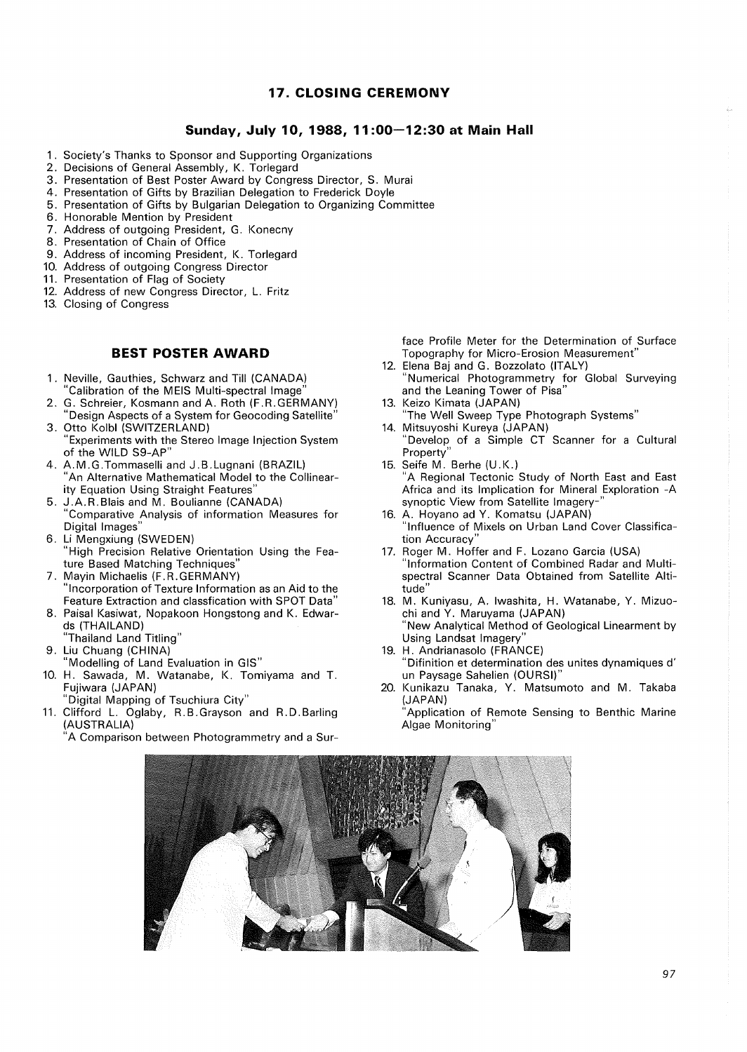# **17. CLOSING CEREMONY**

### **Sunday, July 10, 1988, 11 :00-12:30 at Main Hall**

- 1 . Society's Thanks to Sponsor and Supporting Organizations
- 2. Decisions of General Assembly, K. Torlegard
- 3. Presentation of Best Poster Award by Congress Director, S. Murai
- 4. Presentation of Gifts by Brazilian Delegation to Frederick Doyle
- 5. Presentation of Gifts by Bulgarian Delegation to Organizing Committee
- 6. Honorable Mention by President
- 7. Address of outgoing President, G. Konecny
- 8. Presentation of Chain of Office
- 9. Address of incoming President, K. Torlegard
- 10. Address of outgoing Congress Director
- 11. Presentation of Flag of Society
- 12. Address of new Congress Director, L. Fritz
- 13. Closing of Congress

# **BEST POSTER AWARD**

- 1 . Neville, Gauthies, Schwarz and Till (CANADA) "Calibration of the MEIS Multi-spectral Image"
- 2. G. Schreier, Kosmann and A. Roth (F.R.GERMANY) "Design Aspects of a System for Geocoding Satellite"
- 3. Otto Kolb! (SWITZERLAND) "Experiments with the Stereo Image Injection System of the WILD S9-AP'
- 4. A.M.G.Tommaselli and J.B.Lugnani (BRAZIL) "An Alternative Mathematical Model to the Collinearity Equation Using Straight Features"
- 5. J.A.R.Blais and M. Boulianne (CANADA) "Comparative Analysis of information Measures for Digital Images"
- 6. Li Mengxiung (SWEDEN) "High Precision Relative Orientation Using the Feature Based Matching Techniques'
- 7. Mayin Michaelis (F.R.GERMANY) 'Incorporation of Texture Information as an Aid to the Feature Extraction and classfication with SPOT Data"
- 8. Paisal Kasiwat, Nopakoon Hongstong and K. Edwards (THAILAND)
- "Thailand Land Titling"
- 9. Liu Chuang (CHINA)
	- "Modelling of Land Evaluation in GIS"
- 10. H. Sawada, M. Watanabe, K. Tomiyama and T. Fujiwara (JAPAN)
- "Digital Mapping of Tsuchiura City" 11. Clifford L. Oglaby, R.B.Grayson and R.D.Barling

(AUSTRALIA) "A Comparison between Photogrammetry and a Surface Profile Meter for the Determination of Surface Topography for Micro-Erosion Measurement"

- 12. Elena Baj and G. Bozzolato (ITALY) "Numerical Photogrammetry for Global Surveying and the Leaning Tower of Pisa"
- 13. Keizo Kimata (JAPAN)
- "The Well Sweep Type Photograph Systems" 14. Mitsuyoshi Kureya (JAPAN)
- "Develop of a Simple CT Scanner for a Cultural Property"
- 15. Seife M. Berhe (U.K.) A Regional Tectonic Study of North East and East Africa and its Implication for Mineral Exploration -A synoptic View from Satellite Imagery-
- 16. A. Hoyano ad Y. Komatsu (JAPAN) "Influence of Mixels on Urban Land Cover Classification Accuracy"
- 17. Roger M. Hoffer and F. Lozano Garcia (USA) "Information Content of Combined Radar and Multispectral Scanner Data Obtained from Satellite Altitude"
- 18. M. Kuniyasu, A. Iwashita, H. Watanabe, Y. Mizuochi and Y. Maruyama (JAPAN) "New Analytical Method of Geological Linearment by Using Landsat Imagery"
- 19. H. Andrianasolo (FRANCE)

Algae Monitoring"

- "Difinition et determination des unites dynamiques d' un Paysage Sahelien (OURSI)"
- 20. Kunikazu Tanaka, Y. Matsumoto and M. Takaba (JAPAN) Application of Remote Sensing to Benthic Marine

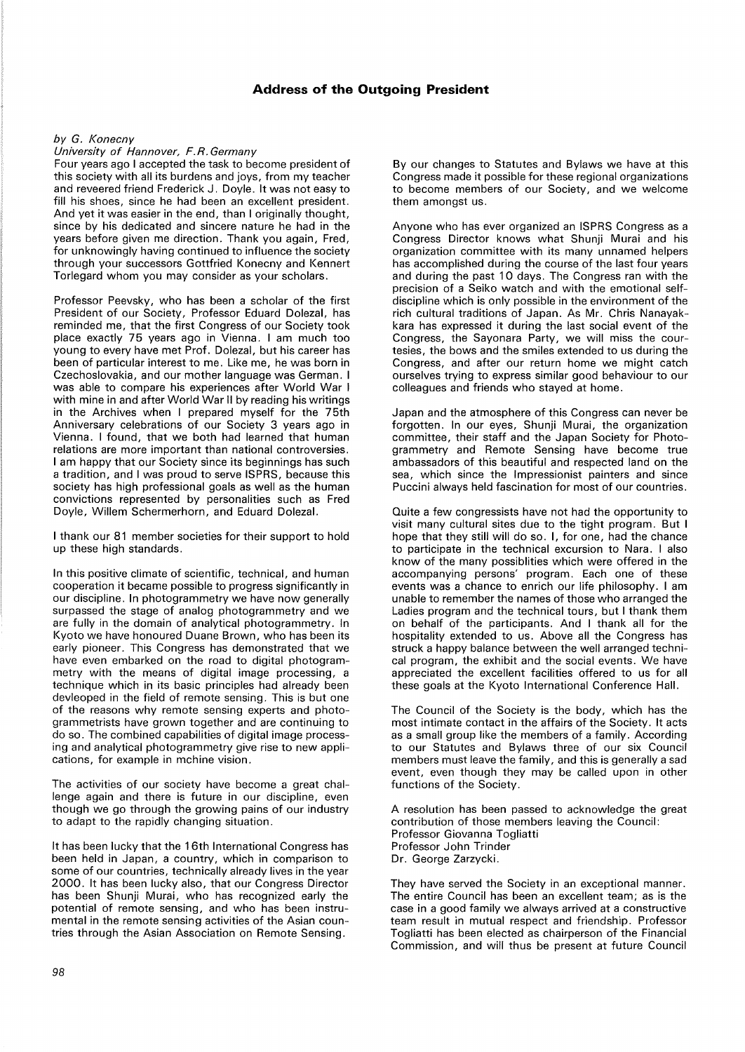# **Address of the Outgoing President**

#### by G. Konecny

University of Hannover, F.R. Germany

Four years ago I accepted the task to become president of this society with all its burdens and joys, from my teacher and reveered friend Frederick J. Doyle. It was not easy to fill his shoes, since he had been an excellent president. And yet it was easier in the end, than I originally thought, since by his dedicated and sincere nature he had in the years before given me direction. Thank you again, Fred, for unknowingly having continued to influence the society through your successors Gottfried Konecny and Kennert Torlegard whom you may consider as your scholars.

Professor Peevsky, who has been a scholar of the first President of our Society, Professor Eduard Dolezal, has reminded me, that the first Congress of our Society took place exactly 75 years ago in Vienna. I am much too young to every have met Prof. Dolezal, but his career has been of particular interest to me. Like me, he was born in Czechoslovakia, and our mother language was German. I was able to compare his experiences after World War I with mine in and after World War II by reading his writings in the Archives when I prepared myself for the 75th Anniversary celebrations of our Society 3 years ago in Vienna. I found, that we both had learned that human relations are more important than national controversies. I am happy that our Society since its beginnings has such a tradition, and I was proud to serve ISPRS, because this society has high professional goals as well as the human convictions represented by personalities such as Fred Doyle, Willem Schermerhorn, and Eduard Dolezal.

I thank our 81 member societies for their support to hold up these high standards.

In this positive climate of scientific, technical, and human cooperation it became possible to progress significantly in our discipline. In photogrammetry we have now generally surpassed the stage of analog photogrammetry and we are fully in the domain of analytical photogrammetry. In Kyoto we have honoured Duane Brown, who has been its early pioneer. This Congress has demonstrated that we have even embarked on the road to digital photogrammetry with the means of digital image processing, a technique which in its basic principles had already been devleoped in the field of remote sensing. This is but one of the reasons why remote sensing experts and photogrammetrists have grown together and are continuing to do so. The combined capabilities of digital image processing and analytical photogrammetry give rise to new applications, for example in mchine vision.

The activities of our society have become a great challenge again and there is future in our discipline, even though we go through the growing pains of our industry to adapt to the rapidly changing situation.

It has been lucky that the 16th International Congress has been held in Japan, a country, which in comparison to some of our countries, technically already lives in the year 2000. It has been lucky also, that our Congress Director has been Shunji Murai, who has recognized early the potential of remote sensing, and who has been instrumental in the remote sensing activities of the Asian countries through the Asian Association on Remote Sensing.

By our changes to Statutes and Bylaws we have at this Congress made it possible for these regional organizations to become members of our Society, and we welcome them amongst us.

Anyone who has ever organized an ISPRS Congress as a Congress Director knows what Shunji Murai and his organization committee with its many unnamed helpers has accomplished during the course of the last four years and during the past 10 days. The Congress ran with the precision of a Seiko watch and with the emotional selfdiscipline which is only possible in the environment of the rich cultural traditions of Japan. As Mr. Chris Nanayakkara has expressed it during the last social event of the Congress, the Sayonara Party, we will miss the courtesies, the bows and the smiles extended to us during the Congress, and after our return home we might catch ourselves trying to express similar good behaviour to our colleagues and friends who stayed at home.

Japan and the atmosphere of this Congress can never be forgotten. In our eyes, Shunii Murai, the organization committee, their staff and the Japan Society for Photogrammetry and Remote Sensing have become true ambassadors of this beautiful and respected land on the sea, which since the Impressionist painters and since Puccini always held fascination for most of our countries.

Quite a few congressists have not had the opportunity to visit many cultural sites due to the tight program. But I hope that they still will do so. I, for one, had the chance to participate in the technical excursion to Nara. I also know of the many possiblities which were offered in the accompanying persons' program. Each one of these events was a chance to enrich our life philosophy. I am unable to remember the names of those who arranged the Ladies program and the technical tours, but I thank them on behalf of the participants. And I thank all for the hospitality extended to us. Above all the Congress has struck a happy balance between the well arranged technical program, the exhibit and the social events. We have appreciated the excellent facilities offered to us for all these goals at the Kyoto International Conference Hall.

The Council of the Society is the body, which has the most intimate contact in the affairs of the Society. It acts as a small group like the members of a family. According to our Statutes and Bylaws three of our six Council members must leave the family, and this is generally a sad event, even though they may be called upon in other functions of the Society.

A resolution has been passed to acknowledge the great contribution of those members leaving the Council: Professor Giovanna Togliatti Professor John Trinder Dr. George Zarzycki.

They have served the Society in an exceptional manner. The entire Council has been an excellent team; as is the case in a good family we always arrived at a constructive team result in mutual respect and friendship. Professor Togliatti has been elected as chairperson of the Financial Commission, and will thus be present at future Council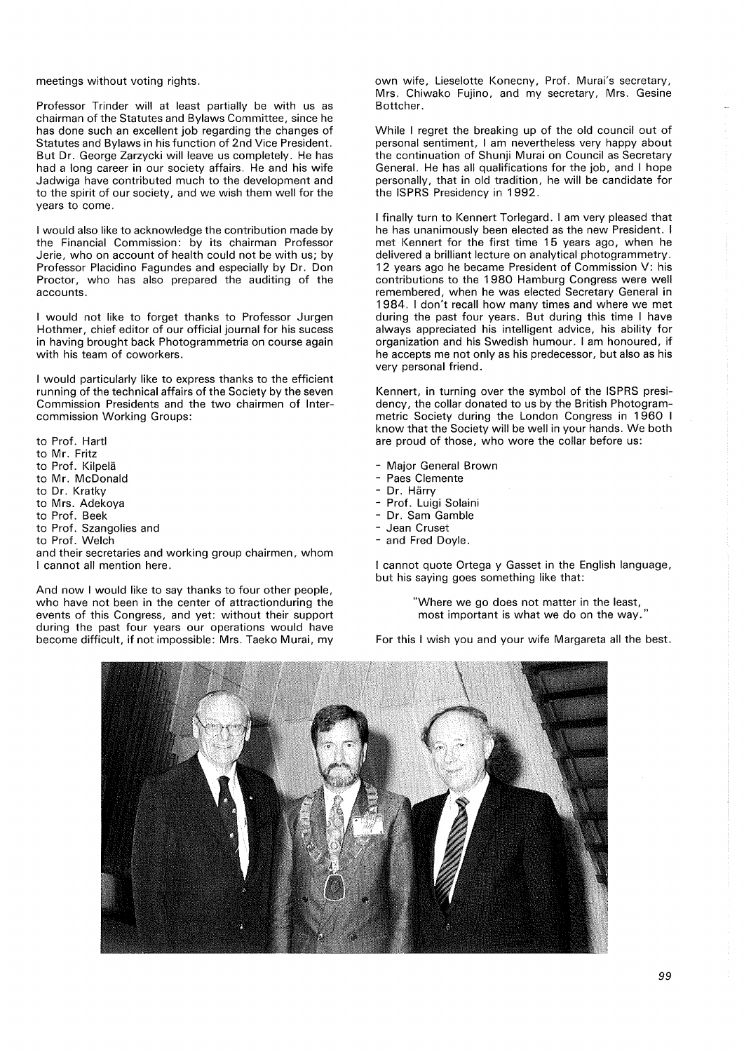meetings without voting rights.

Professor Trinder will at least partially be with us as chairman of the Statutes and Bylaws Committee, since he has done such an excellent job regarding the changes of Statutes and Bylaws in his function of 2nd Vice President. But Dr. George Zarzycki will leave us completely. He has had a long career in our society affairs. He and his wife Jadwiga have contributed much to the development and to the spirit of our society, and we wish them well for the years to come.

I would also like to acknowledge the contribution made by the Financial Commission: by its chairman Professor Jerie, who on account of health could not be with us; by Professor Placidino Fagundes and especially by Dr. Don Proctor, who has also prepared the auditing of the accounts.

I would not like to forget thanks to Professor Jurgen Hothmer, chief editor of our official journal for his sucess in having brought back Photogrammetria on course again with his team of coworkers.

I would particularly like to express thanks to the efficient running of the technical affairs of the Society by the seven Commission Presidents and the two chairmen of Intercommission Working Groups:

to Prof. Hartl to Mr. Fritz to Prof. Kilpela to Mr. McDonald to Dr. Kratky to Mrs. Adekoya to Prof. Beek to Prof. Szangolies and to Prof. Welch and their secretaries and working group chairmen, whom I cannot all mention here.

And now I would like to say thanks to four other people, who have not been in the center of attractionduring the events of this Congress, and yet: without their support during the past four years our operations would have become difficult, if not impossible: Mrs. Taeko Murai, my

own wife, Lieselotte Konecny, Prof. Murai's secretary, Mrs. Chiwako Fujino, and my secretary, Mrs. Gesine Bottcher.

While I regret the breaking up of the old council out of personal sentiment, I am nevertheless very happy about the continuation of Shunji Murai on Council as Secretary General. He has all qualifications for the job, and I hope personally, that in old tradition, he will be candidate for the ISPRS Presidency in 1992.

I finally turn to Kennert Torlegard. I am very pleased that he has unanimously been elected as the new President. I met Kennert for the first time 15 years ago, when he delivered a brilliant lecture on analytical photogrammetry. 12 years ago he became President of Commission V: his contributions to the 1980 Hamburg Congress were well remembered, when he was elected Secretary General in 1 984. I don't recall how many times and where we met during the past four years. But during this time I have always appreciated his intelligent advice, his ability for organization and his Swedish humour. I am honoured, if he accepts me not only as his predecessor, but also as his very personal friend.

Kennert, in turning over the symbol of the ISPRS presidency, the collar donated to us by the British Photogrammetric Society during the London Congress in 1 960 I know that the Society will be well in your hands. We both are proud of those, who wore the collar before us:

- Major General Brown
- Paes Clemente
- Dr. Härry
- Prof. Luigi Solaini
- Dr. Sam Gamble
- Jean Cruset
- and Fred Doyle.

I cannot quote Ortega y Gasset in the English language, but his saying goes something like that:

> "Where we go does not matter in the least, most important is what we do on the way.

For this I wish you and your wife Margareta all the best.

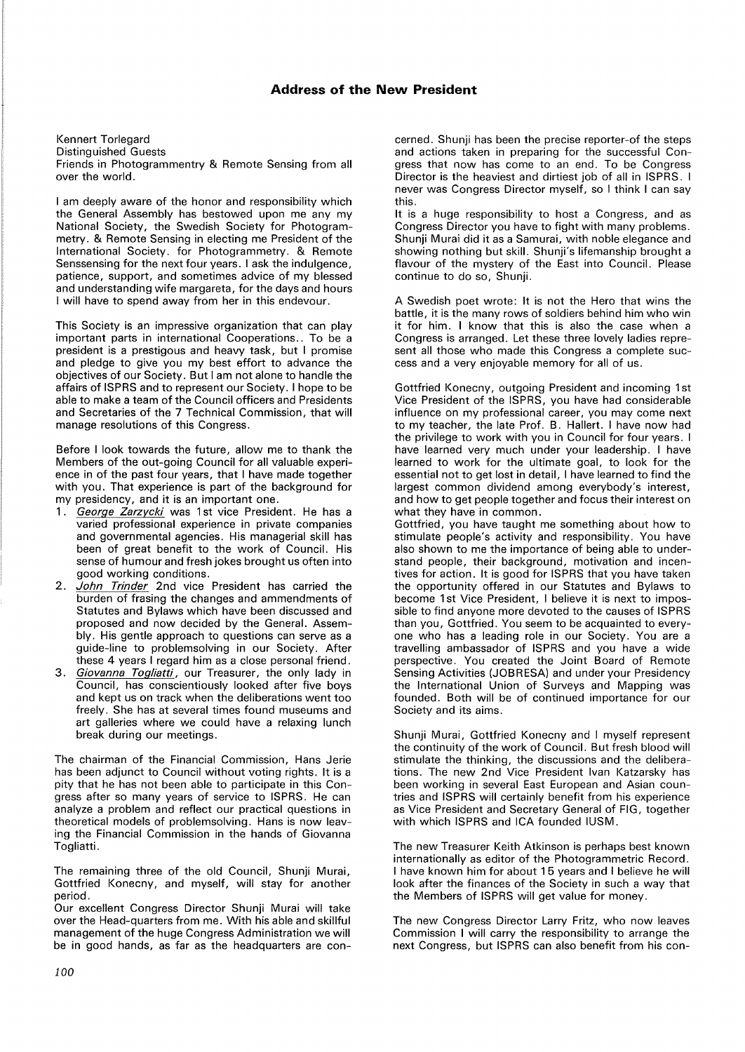Kennert Torlegard Distinguished Guests Friends in Photogrammentry & Remote Sensing from all over the world.

I am deeply aware of the honor and responsibility which the General Assembly has bestowed upon me any my National Society, the Swedish Society for Photogrammetry. & Remote Sensing in electing me President of the International Society. for Photogrammetry. & Remote Senssensing for the next four years. I ask the indulgence, patience, support, and sometimes advice of my blessed and understanding wife margareta, for the days and hours I will have to spend away from her in this endevour.

This Society is an impressive organization that can play important parts in international Cooperations .. To be a president is a prestigous and heavy task, but I promise and pledge to give you my best effort to advance the objectives of our Society. But I am not alone to handle the affairs of ISPRS and to represent our Society. I hope to be able to make a team of the Council officers and Presidents and Secretaries of the 7 Technical Commission, that will manage resolutions of this Congress.

Before I look towards the future, allow me to thank the Members of the out-going Council for all valuable experience in of the past four years, that I have made together with you. That experience is part of the background for my presidency, and it is an important one.

- 1. *George Zarzycki* was 1st vice President. He has a varied professional experience in private companies and governmental agencies. His managerial skill has been of great benefit to the work of Council. His sense of humour and fresh jokes brought us often into good working conditions.
- 2. *John Trinder* 2nd vice President has carried the burden of frasing the changes and ammendments of Statutes and Bylaws which have been discussed and proposed and now decided by the General. Assembly. His gentle approach to questions can serve as a guide-line to problemsolving in our Society. After these 4 years I regard him as a close personal friend.
- 3. *Giovanna Tog!iatti,* our Treasurer, the only lady in Council, has conscientiously looked after five boys and kept us on track when the deliberations went too freely. She has at several times found museums and art galleries where we could have a relaxing lunch break during our meetings.

The chairman of the Financial Commission, Hans Jerie has been adjunct to Council without voting rights. It is a pity that he has not been able to participate in this Congress after so many years of service to ISPRS. He can analyze a problem and reflect our practical questions in theoretical models of problemsolving. Hans is now leaving the Financial Commission in the hands of Giovanna Togliatti.

The remaining three of the old Council, Shunji Murai, Gottfried Konecny, and myself, will stay for another period.

Our excellent Congress Director Shunji Murai will take over the Head-quarters from me. With his able and skillful management of the huge Congress Administration we will be in good hands, as far as the headquarters are con-

cerned. Shunji has been the precise reporter-of the steps and actions taken in preparing for the successful Congress that now has come to an end. To be Congress Director is the heaviest and dirtiest job of all in ISPRS. I never was Congress Director myself, so I think I can say this.

It is a huge responsibility to host a Congress, and as Congress Director you have to fight with many problems. Shunji Murai did it as a Samurai, with noble elegance and showing nothing but skill. Shunji's lifemanship brought a flavour of the mystery of the East into Council. Please continue to do so, Shunji.

A Swedish poet wrote: It is not the Hero that wins the battle, it is the many rows of soldiers behind him who win it for him. I know that this is also the case when a Congress is arranged. Let these three lovely ladies represent all those who made this Congress a complete success and a very enjoyable memory for all of us.

Gottfried Konecny, outgoing President and incoming 1st Vice President of the ISPRS, you have had considerable influence on my professional career, you may come next to my teacher, the late Prof. B. Hallert. I have now had the privilege to work with you in Council for four years. I have learned very much under your leadership. I have learned to work for the ultimate goal, to look for the essential not to get lost in detail, I have learned to find the largest common dividend among everybody's interest, and how to get people together and focus their interest on what they have in common.

Gottfried, you have taught me something about how to stimulate people's activity and responsibility. You have also shown to me the importance of being able to understand people, their background, motivation and incentives for action. It is good for ISPRS that you have taken the opportunity offered in our Statutes and Bylaws to become 1st Vice President, I believe it is next to impossible to find anyone more devoted to the causes of ISPRS than you, Gottfried. You seem to be acquainted to everyone who has a leading role in our Society. You are a travelling ambassador of ISPRS and you have a wide perspective. You created the Joint Board of Remote Sensing Activities (JOBRESA) and under your Presidency the International Union of Surveys and Mapping was founded. Both will be of continued importance for our Society and its aims.

Shunji Murai, Gottfried Konecny and I myself represent the continuity of the work of Council. But fresh blood will stimulate the thinking, the discussions and the deliberations. The new 2nd Vice President Ivan Katzarsky has been working in several East European and Asian countries and ISPRS will certainly benefit from his experience as Vice President and Secretary General of FIG, together with which ISPRS and ICA founded IUSM.

The new Treasurer Keith Atkinson is perhaps best known internationally as editor of the Photogrammetric Record. I have known him for about 15 years and I believe he will look after the finances of the Society in such a way that the Members of ISPRS will get value for money.

The new Congress Director Larry Fritz, who now leaves Commission I will carry the responsibility to arrange the next Congress, but ISPRS can also benefit from his con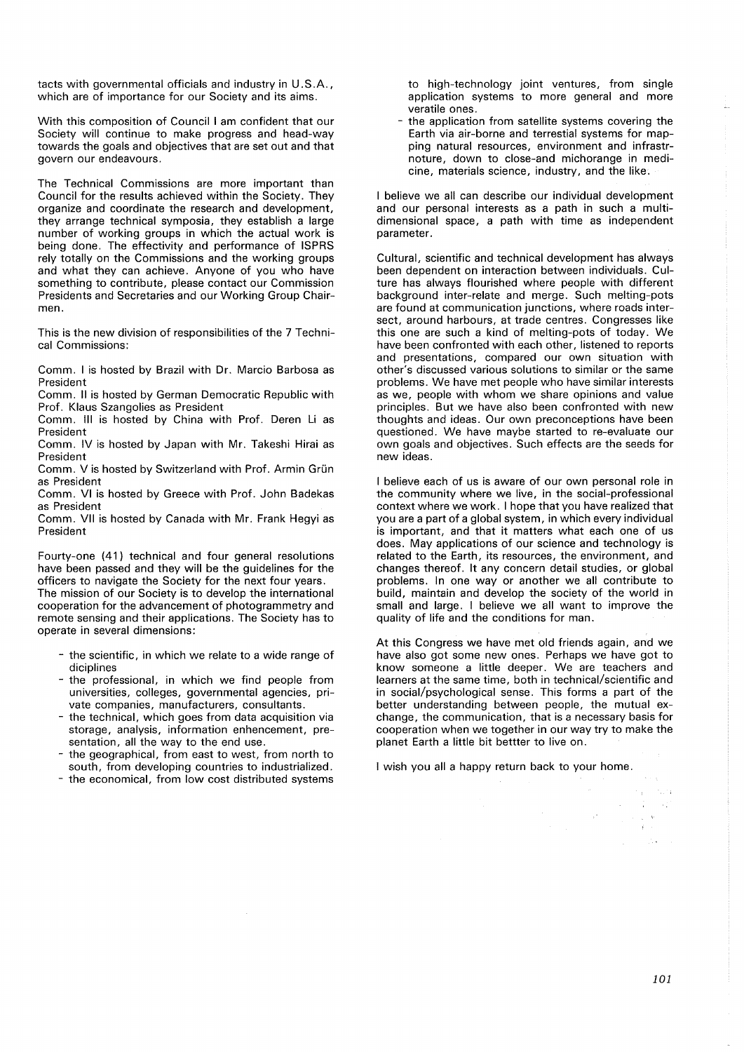tacts with governmental officials and industry in U.S.A., which are of importance for our Society and its aims.

With this composition of Council I am confident that our Society will continue to make progress and head-way towards the goals and objectives that are set out and that govern our endeavours.

The Technical Commissions are more important than Council for the results achieved within the Society. They organize and coordinate the research and development, they arrange technical symposia, they establish a large number of working groups in which the actual work is being done. The effectivity and performance of ISPRS rely totally on the Commissions and the working groups and what they can achieve. Anyone of you who have something to contribute, please contact our Commission Presidents and Secretaries and our Working Group Chairmen.

This is the new division of responsibilities of the 7 Technical Commissions:

Comm. I is hosted by Brazil with Dr. Marcio Barbosa as President

Comm. II is hosted by German Democratic Republic with Prof. Klaus Szangolies as President

Comm. Ill is hosted by China with Prof. Deren Li as President

Comm. IV is hosted by Japan with Mr. Takeshi Hirai as President

Comm. V is hosted by Switzerland with Prof. Armin Grün as President

Comm. VI is hosted by Greece with Prof. John Badekas as President

Comm. VII is hosted by Canada with Mr. Frank Hegyi as President

Fourty-one (41) technical and four general resolutions have been passed and they will be the guidelines for the officers to navigate the Society for the next four years. The mission of our Society is to develop the international cooperation for the advancement of photogrammetry and remote sensing and their applications. The Society has to operate in several dimensions:

- the scientific, in which we relate to a wide range of diciplines
- the professional, in which we find people from universities, colleges, governmental agencies, private companies, manufacturers, consultants.
- the technical, which goes from data acquisition via storage, analysis, information enhencement, presentation, all the way to the end use.
- the geographical, from east to west, from north to south, from developing countries to industrialized.
- the economical, from low cost distributed systems

 $\bar{z}$ 

to high-technology joint ventures, from single application systems to more general and more veratile ones.

- the application from satellite systems covering the Earth via air-borne and terrestial systems for mapping natural resources, environment and infrastrnoture, down to close-and michorange in medicine, materials science, industry, and the like.

I believe we all can describe our individual development and our personal interests as a path in such a multidimensional space, a path with time as independent parameter.

Cultural, scientific and technical development has always been dependent on interaction between individuals. Culture has always flourished where people with different background inter-relate and merge. Such melting-pots are found at communication junctions, where roads intersect, around harbours, at trade centres. Congresses like this one are such a kind of melting-pots of today. We have been confronted with each other, listened to reports and presentations, compared our own situation with other's discussed various solutions to similar or the same problems. We have met people who have similar interests as we, people with whom we share opinions and value principles. But we have also been confronted with new thoughts and ideas. Our own preconceptions have been questioned. We have maybe started to re-evaluate our own goals and objectives. Such effects are the seeds for new ideas.

I believe each of us is aware of our own personal role in the community where we live, in the social-professional context where we work. I hope that you have realized that you are a part of a global system, in which every individual is important, and that it matters what each one of us does. May applications of our science and technology is related to the Earth, its resources, the environment, and changes thereof. It any concern detail studies, or global problems. In one way or another we all contribute to build, maintain and develop the society of the world in small and large. I believe we all want to improve the quality of life and the conditions for man.

At this Congress we have met old friends again, and we have also got some new ones. Perhaps we have got to know someone a little deeper. We are teachers and learners at the same time, both in technical/scientific and in social/psychological sense. This forms a part of the better understanding between people, the mutual exchange, the communication, that is a necessary basis for cooperation when we together in our way try to make the planet Earth a little bit bettter to live on.

 $\label{eq:2} \frac{1}{\sqrt{2}}\int_{0}^{\infty}\frac{1}{\sqrt{2}}\left(\frac{1}{\sqrt{2}}\right)^{2}d\theta\,d\theta\,d\theta\,.$ 

I wish you all a happy return back to your home.

 $\gamma_{\alpha} \gamma_{k}$  $-12 - 12$